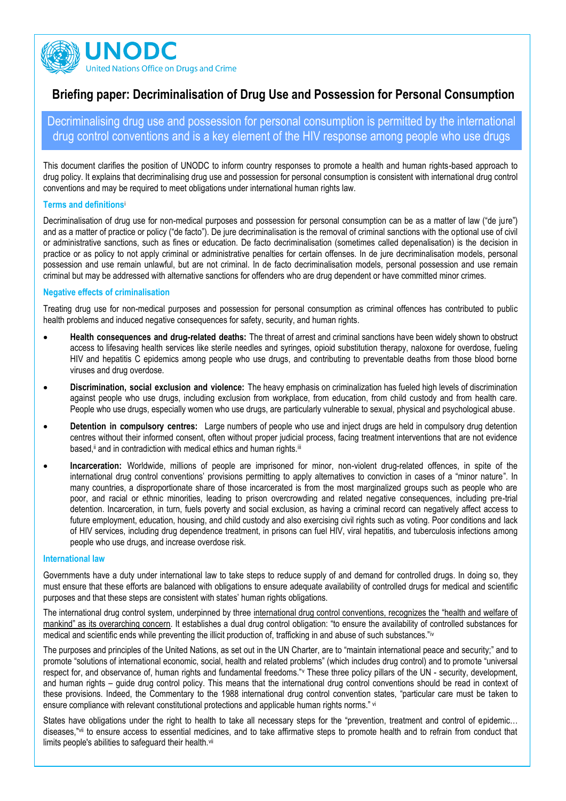

# **Briefing paper: Decriminalisation of Drug Use and Possession for Personal Consumption**

Decriminalising drug use and possession for personal consumption is permitted by the international drug control conventions and is a key element of the HIV response among people who use drugs

This document clarifies the position of UNODC to inform country responses to promote a health and human rights-based approach to drug policy. It explains that decriminalising drug use and possession for personal consumption is consistent with international drug control conventions and may be required to meet obligations under international human rights law.

## **Terms and definitions**<sup>i</sup>

Decriminalisation of drug use for non-medical purposes and possession for personal consumption can be as a matter of law ("de jure") and as a matter of practice or policy ("de facto"). De jure decriminalisation is the removal of criminal sanctions with the optional use of civil or administrative sanctions, such as fines or education. De facto decriminalisation (sometimes called depenalisation) is the decision in practice or as policy to not apply criminal or administrative penalties for certain offenses. In de jure decriminalisation models, personal possession and use remain unlawful, but are not criminal. In de facto decriminalisation models, personal possession and use remain criminal but may be addressed with alternative sanctions for offenders who are drug dependent or have committed minor crimes.

## **Negative effects of criminalisation**

Treating drug use for non-medical purposes and possession for personal consumption as criminal offences has contributed to public health problems and induced negative consequences for safety, security, and human rights.

- **Health consequences and drug-related deaths:** The threat of arrest and criminal sanctions have been widely shown to obstruct access to lifesaving health services like sterile needles and syringes, opioid substitution therapy, naloxone for overdose, fueling HIV and hepatitis C epidemics among people who use drugs, and contributing to preventable deaths from those blood borne viruses and drug overdose.
- **Discrimination, social exclusion and violence:** The heavy emphasis on criminalization has fueled high levels of discrimination against people who use drugs, including exclusion from workplace, from education, from child custody and from health care. People who use drugs, especially women who use drugs, are particularly vulnerable to sexual, physical and psychological abuse.
- **Detention in compulsory centres:** Large numbers of people who use and inject drugs are held in compulsory drug detention centres without their informed consent, often without proper judicial process, facing treatment interventions that are not evidence based, ii and in contradiction with medical ethics and human rights.iii
- **Incarceration:** Worldwide, millions of people are imprisoned for minor, non-violent drug-related offences, in spite of the international drug control conventions' provisions permitting to apply alternatives to conviction in cases of a "minor nature". In many countries, a disproportionate share of those incarcerated is from the most marginalized groups such as people who are poor, and racial or ethnic minorities, leading to prison overcrowding and related negative consequences, including pre-trial detention. Incarceration, in turn, fuels poverty and social exclusion, as having a criminal record can negatively affect access to future employment, education, housing, and child custody and also exercising civil rights such as voting. Poor conditions and lack of HIV services, including drug dependence treatment, in prisons can fuel HIV, viral hepatitis, and tuberculosis infections among people who use drugs, and increase overdose risk.

#### **International law**

Governments have a duty under international law to take steps to reduce supply of and demand for controlled drugs. In doing so, they must ensure that these efforts are balanced with obligations to ensure adequate availability of controlled drugs for medical and scientific purposes and that these steps are consistent with states' human rights obligations.

The international drug control system, underpinned by three international drug control conventions, recognizes the "health and welfare of mankind" as its overarching concern. It establishes a dual drug control obligation: "to ensure the availability of controlled substances for medical and scientific ends while preventing the illicit production of, trafficking in and abuse of such substances."iv

The purposes and principles of the United Nations, as set out in the UN Charter, are to "maintain international peace and security;" and to promote "solutions of international economic, social, health and related problems" (which includes drug control) and to promote "universal respect for, and observance of, human rights and fundamental freedoms."<sup>v</sup> These three policy pillars of the UN - security, development, and human rights – guide drug control policy. This means that the international drug control conventions should be read in context of these provisions. Indeed, the Commentary to the 1988 international drug control convention states, "particular care must be taken to ensure compliance with relevant constitutional protections and applicable human rights norms." vi

States have obligations under the right to health to take all necessary steps for the "prevention, treatment and control of epidemic… diseases,"vii to ensure access to essential medicines, and to take affirmative steps to promote health and to refrain from conduct that limits people's abilities to safeguard their health.<sup>vii</sup>